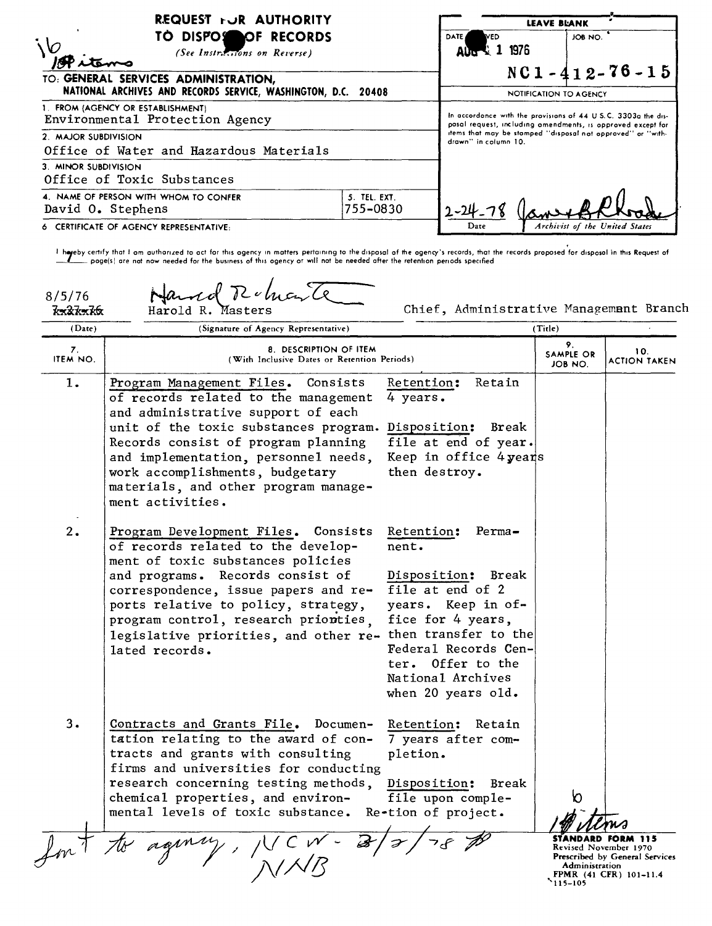| REQUEST FOR AUTHORITY                                                                         |                          | <b>LEAVE BLANK</b>                                                                                                                                                                                                  |                                  |  |                                         |
|-----------------------------------------------------------------------------------------------|--------------------------|---------------------------------------------------------------------------------------------------------------------------------------------------------------------------------------------------------------------|----------------------------------|--|-----------------------------------------|
| TO DISPOSSOF RECORDS<br>(See Instructions on Reverse)<br>TO: GENERAL SERVICES ADMINISTRATION, |                          | <b>DATE</b><br>WED<br>Aug 1 1976                                                                                                                                                                                    | JOB NO.<br>$NC1 - 412 - 76 - 15$ |  |                                         |
| NATIONAL ARCHIVES AND RECORDS SERVICE, WASHINGTON, D.C. 20408                                 |                          | NOTIFICATION TO AGENCY                                                                                                                                                                                              |                                  |  |                                         |
| 1. FROM (AGENCY OR ESTABLISHMENT)<br>Environmental Protection Agency<br>2. MAJOR SUBDIVISION  |                          | In accordance with the provisions of 44 U.S.C. 3303a the dis-<br>pasal request, including amendments, is approved except for<br>items that may be stamped "disposal not approved" or "with-<br>drawn" in column 10. |                                  |  |                                         |
|                                                                                               |                          |                                                                                                                                                                                                                     |                                  |  | Office of Water and Hazardous Materials |
| 3. MINOR SUBDIVISION<br>Office of Toxic Substances                                            |                          |                                                                                                                                                                                                                     |                                  |  |                                         |
| 4. NAME OF PERSON WITH WHOM TO CONFER<br>David O. Stephens                                    | 5. TEL. EXT.<br>755-0830 | $1 - 24$                                                                                                                                                                                                            |                                  |  |                                         |
| 6 CERTIFICATE OF AGENCY REPRESENTATIVE:                                                       |                          | Archivist of the United States<br>Date                                                                                                                                                                              |                                  |  |                                         |

) hoveby certify that I am authorized to act for this agency in matters pertaining to the disposal of the agency's records, that the records proposed for disposal in this Request of المستطلب poge(s) are not now needed for

| 8/5/76<br><del>kx2kxk6</del> | Hand Ruh<br>Harold R.                                                                                                                                                                                                                                                                                                                                         | Chief, Administrative Management Branch                                                                                                                                                                      |                                  |                                                                                                      |
|------------------------------|---------------------------------------------------------------------------------------------------------------------------------------------------------------------------------------------------------------------------------------------------------------------------------------------------------------------------------------------------------------|--------------------------------------------------------------------------------------------------------------------------------------------------------------------------------------------------------------|----------------------------------|------------------------------------------------------------------------------------------------------|
| (Date)                       | (Signature of Agency Representative)                                                                                                                                                                                                                                                                                                                          |                                                                                                                                                                                                              | (Title)                          |                                                                                                      |
| 7.<br>ITEM NO.               | 8. DESCRIPTION OF ITEM<br>(With Inclusive Dates or Retention Periods)                                                                                                                                                                                                                                                                                         |                                                                                                                                                                                                              | 9.<br>SAMPLE OR<br>JOB NO.       | 10.<br><b>ACTION TAKEN</b>                                                                           |
| ı.                           | Program Management Files.<br>Consists<br>of records related to the management<br>and administrative support of each<br>unit of the toxic substances program. Disposition: Break<br>Records consist of program planning<br>and implementation, personnel needs,<br>work accomplishments, budgetary<br>materials, and other program manage-<br>ment activities. | Retention:<br>Retain<br>4 years.<br>file at end of year.<br>Keep in office 4 years<br>then destroy.                                                                                                          |                                  |                                                                                                      |
| 2.                           | Program Development Files. Consists<br>of records related to the develop-<br>ment of toxic substances policies<br>and programs. Records consist of<br>correspondence, issue papers and re-<br>ports relative to policy, strategy,<br>program control, research prionties,<br>legislative priorities, and other re- then transfer to the<br>lated records.     | Retention:<br>$Perma-$<br>nent.<br>Disposition: Break<br>file at end of 2<br>years. Keep in of-<br>fice for 4 years,<br>Federal Records Cen-<br>ter. Offer to the<br>National Archives<br>when 20 years old. |                                  |                                                                                                      |
| 3.                           | Contracts and Grants File. Documen-<br>tation relating to the award of con-<br>tracts and grants with consulting<br>firms and universities for conducting<br>research concerning testing methods,<br>chemical properties, and environ-<br>mental levels of toxic substance.                                                                                   | Retention: Retain<br>7 years after com-<br>pletion.<br>Disposition:<br>Break<br>file upon comple-<br>Re-tion of project.                                                                                     |                                  |                                                                                                      |
|                              |                                                                                                                                                                                                                                                                                                                                                               |                                                                                                                                                                                                              | <b>Administration</b><br>115-105 | <b>FORM 115</b><br>Revised November 1970<br>Prescribed by General Services<br>FPMR (41 CFR) 101-11.4 |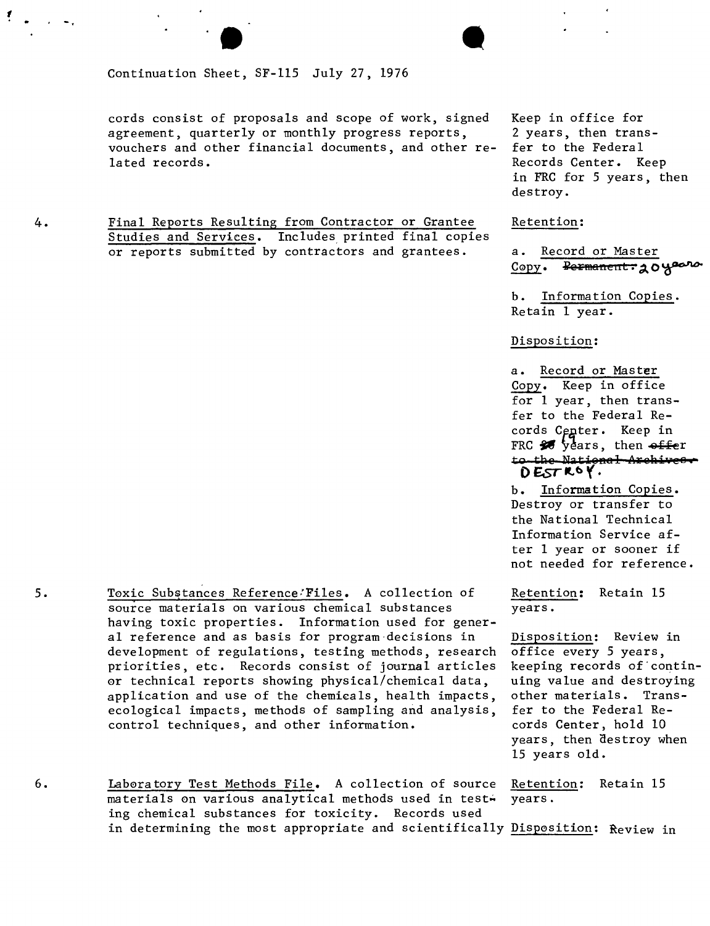cords consist of proposals and scope of work, signed Keep in office for agreement, quarterly or monthly progress reports, 2 years, then trans-<br>vouchers and other financial documents, and other re- fer to the Federal vouchers and other financial documents, and other related records. The context of the context of the context of the Records Center. Keep

 $\blacksquare$ 

4. Final Rep0rts Resulting from Contractor or Grantee Retention: Studies and Services. Includes printed final copies or reports submitted by contractors and grantees. a. Record or Master

in FRC for 5 years, then destroy.

Copy. Permanent: 20 years

b. Information Copies.  $Reta$ in 1 year.

Disposition:

a. Record or Master Copy. Keep in office for 1 year, then transfer to the Federal Records Center. Keep in FRC  $\frac{1}{20}$  years, then  $\frac{f}{f}$ to the National Archives. o **£sTitt>** *'f.*

b. Information Copies. Destroy or transfer to the National Technical Information Service after 1 year or sooner if not needed for reference.

years, then destroy when 15 years old.

6. Laboratory Test Methods File. A collection of source Retention: Retain 15 materials on various analytical methods used in test- years. ing chemical substances for toxicity. Records used in determining the most appropriate and scientifically Disposition: Review in

- 5. Toxic Substances Reference: Files. A collection of Retention: Retain 15 source materials on various chemical substances years. having toxic properties. Information used for general reference and as basis for program-decisions in Disposition: Review in development of regulations, testing methods, research office every 5 years, priorities, etc. Records consist of journal articles keeping records of contin-0r technical reports showing physical/chemical data, uing value and destroying application and use of the chemicals, health impacts, other materials. Transecological impacts, methods of sampling and analysis, fer to the Federal Recontrol techniques, and other information. The cords Center, hold 10
- 

 $\mathbf{r}$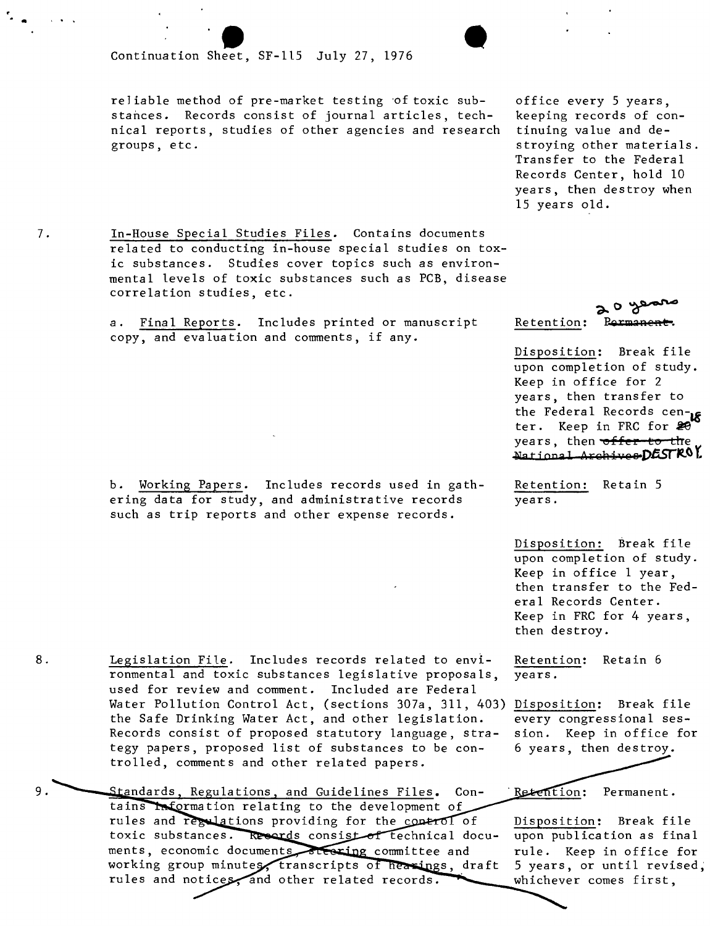## e a continuation Sheet Continuation Sheet, SF-lIS July 27, 1976

reliable method of pre-market testing of toxic substances. Records consist of journal articles, technical reports, studies of other agencies and research groups, etc.

office every 5 years, keeping records of continuing value and destroying other materials. Transfer to the Federal Records Center, hold 10 years, then destroy when 15 years old.

7. In-House Special Studies Files. Contains documents related to conducting in-house special studies on toxic substances. Studies cover topics such as environmental levels of toxic substances such as PCB, disease correlation studies, etc.

> a. Final Reports. Includes printed or manuscript copy, and evaluation and comments, if any.

b. Working Papers. Includes records used in gathering data for study, and administrative records such as trip reports and other expense records.

ronmental and toxic substances legislative proposals, used for review and comment. Included are Federal

the Safe Drinking Water Act, and other legislation. Records consist of proposed statutory language, strategy papers, proposed list of substances to be con-

Standards, Regulations, and Guidelines Files. Con-

tains Information relating to the development of rules and regulations providing for the control of toxic substances. Records consist of technical documents, economic documents steering committee and working group minutes, transcripts of hearings, draft

rules and notices, and other related records.

~o~ Retention: <del>Permanent</del>

Disposition: Break file upon completion of study. Keep in office for 2 years, then transfer to the Federal Records cen- $\kappa$ ter. Keep in FRC for 20 years, then **offer** to the **.1>lati <sup>00</sup> a]** A. HIM **iv <sup>e</sup> <sup>B</sup> p.a5rIt.<sup>O</sup> t**

Retention: Retain 5 years.

Disposition: Break file upon completion of study. Keep in office 1 year, then transfer to the Federal Records Center. Keep in FRC for 4 years, then destroy.

Retention: Retain 6 years.

Water Pollution Control Act, (sections 307a, 311, 403) <u>Disposition</u>: Break file every congressional session. Keep in office for 6 years, then destroy.

> Retention: Permanent.

Disposition: Break file upon publication as final rule. Keep in office for 5 years, or until revised; whichever comes first,

8. Legislation File. Includes records related to envi-

trolled, comments and other related papers.

9.

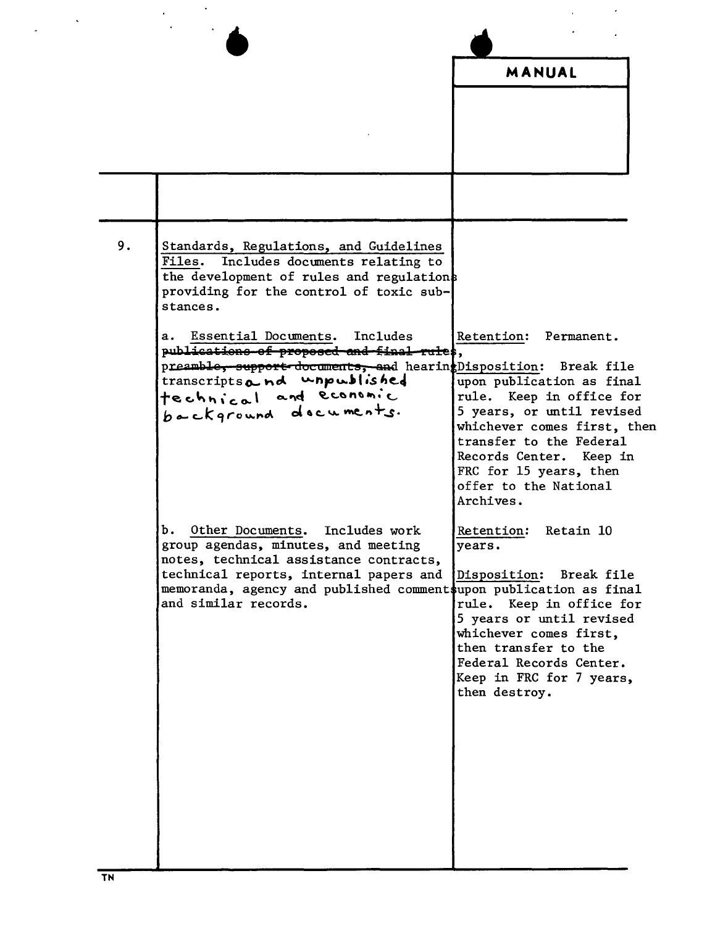|    |                                                                                                                                                                                                                                                                 | MANUAL                                                                                                                                                                                                                                                              |  |
|----|-----------------------------------------------------------------------------------------------------------------------------------------------------------------------------------------------------------------------------------------------------------------|---------------------------------------------------------------------------------------------------------------------------------------------------------------------------------------------------------------------------------------------------------------------|--|
|    |                                                                                                                                                                                                                                                                 |                                                                                                                                                                                                                                                                     |  |
|    |                                                                                                                                                                                                                                                                 |                                                                                                                                                                                                                                                                     |  |
|    |                                                                                                                                                                                                                                                                 |                                                                                                                                                                                                                                                                     |  |
|    |                                                                                                                                                                                                                                                                 |                                                                                                                                                                                                                                                                     |  |
|    |                                                                                                                                                                                                                                                                 |                                                                                                                                                                                                                                                                     |  |
| 9. | Standards, Regulations, and Guidelines<br><b>Files.</b><br>Includes documents relating to<br>the development of rules and regulations<br>providing for the control of toxic sub-<br>stances.                                                                    |                                                                                                                                                                                                                                                                     |  |
|    | Essential Documents.<br>Includes<br>а.<br>publications of proposed and final rules,<br>preamble, support documents, and hearingDisposition: Break file<br>transcriptsand unpublished<br>technical and economic<br>background documents.                         | Retention:<br>Permanent.<br>upon publication as final<br>rule. Keep in office for<br>5 years, or until revised<br>whichever comes first, then<br>transfer to the Federal<br>Records Center. Keep in<br>FRC for 15 years, then<br>offer to the National<br>Archives. |  |
|    | Other Documents.<br>Includes work<br>b.<br>group agendas, minutes, and meeting<br>notes, technical assistance contracts,<br>technical reports, internal papers and<br>memoranda, agency and published commentsupon publication as final<br>and similar records. | Retention: Retain 10<br>years.<br>Disposition:<br>Break file<br>rule. Keep in office for<br>5 years or until revised<br>whichever comes first,<br>then transfer to the<br>Federal Records Center.<br>Keep in FRC for 7 years,<br>then destroy.                      |  |

 $\frac{1}{2} \left( \frac{1}{2} \right)^{\frac{1}{2}} \frac{1}{2} \left( \frac{1}{2} \right)^{\frac{1}{2}}$